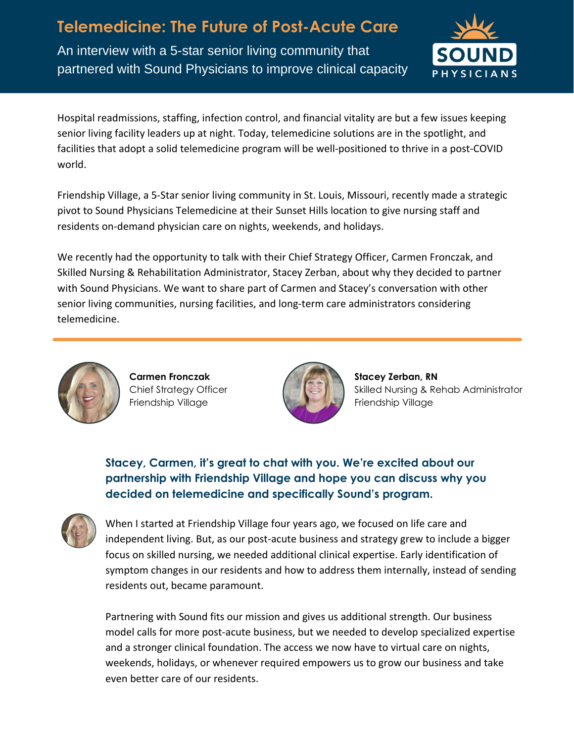**Telemedicine: The Future of Post-Acute Care** An interview with a 5-star senior living community that partnered with Sound Physicians to improve clinical capacity



Hospital readmissions, staffing, infection control, and financial vitality are but a few issues keeping senior living facility leaders up at night. Today, telemedicine solutions are in the spotlight, and facilities that adopt a solid telemedicine program will be well-positioned to thrive in a post-COVID world.

Friendship Village, a 5-Star senior living community in St. Louis, Missouri, recently made a strategic pivot to Sound Physicians Telemedicine at their Sunset Hills location to give nursing staff and residents on-demand physician care on nights, weekends, and holidays.

We recently had the opportunity to talk with their Chief Strategy Officer, Carmen Fronczak, and Skilled Nursing & Rehabilitation Administrator, Stacey Zerban, about why they decided to partner with Sound Physicians. We want to share part of Carmen and Stacey's conversation with other senior living communities, nursing facilities, and long-term care administrators considering telemedicine.



**Carmen Fronczak** Chief Strategy Officer Friendship Village



**Stacey Zerban, RN** Skilled Nursing & Rehab Administrator Friendship Village

**Stacey, Carmen, it's great to chat with you. We're excited about our partnership with Friendship Village and hope you can discuss why you decided on telemedicine and specifically Sound's program.**



When I started at Friendship Village four years ago, we focused on life care and independent living. But, as our post-acute business and strategy grew to include a bigger focus on skilled nursing, we needed additional clinical expertise. Early identification of symptom changes in our residents and how to address them internally, instead of sending residents out, became paramount.

Partnering with Sound fits our mission and gives us additional strength. Our business model calls for more post-acute business, but we needed to develop specialized expertise and a stronger clinical foundation. The access we now have to virtual care on nights, weekends, holidays, or whenever required empowers us to grow our business and take even better care of our residents.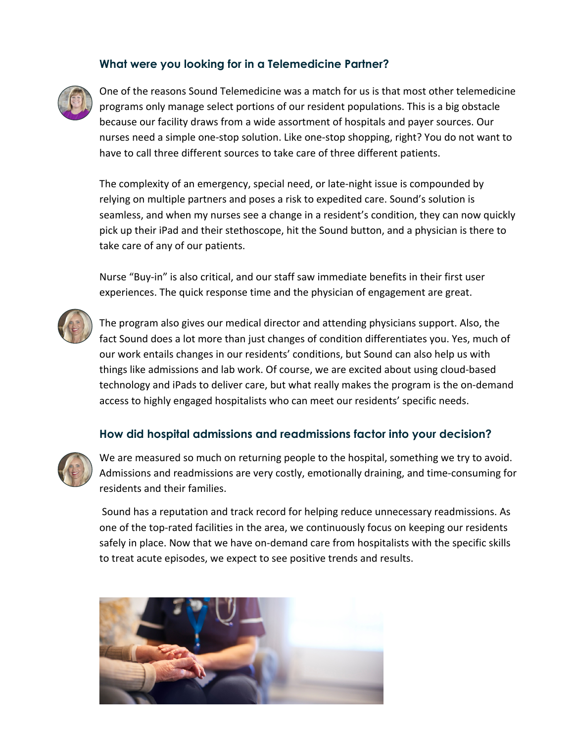## **What were you looking for in a Telemedicine Partner?**



One of the reasons Sound Telemedicine was a match for us is that most other telemedicine programs only manage select portions of our resident populations. This is a big obstacle because our facility draws from a wide assortment of hospitals and payer sources. Our nurses need a simple one-stop solution. Like one-stop shopping, right? You do not want to have to call three different sources to take care of three different patients.

The complexity of an emergency, special need, or late-night issue is compounded by relying on multiple partners and poses a risk to expedited care. Sound's solution is seamless, and when my nurses see a change in a resident's condition, they can now quickly pick up their iPad and their stethoscope, hit the Sound button, and a physician is there to take care of any of our patients.

Nurse "Buy-in" is also critical, and our staff saw immediate benefits in their first user experiences. The quick response time and the physician of engagement are great.



The program also gives our medical director and attending physicians support. Also, the fact Sound does a lot more than just changes of condition differentiates you. Yes, much of our work entails changes in our residents' conditions, but Sound can also help us with things like admissions and lab work. Of course, we are excited about using cloud-based technology and iPads to deliver care, but what really makes the program is the on-demand access to highly engaged hospitalists who can meet our residents' specific needs.

## **How did hospital admissions and readmissions factor into your decision?**



We are measured so much on returning people to the hospital, something we try to avoid. Admissions and readmissions are very costly, emotionally draining, and time-consuming for residents and their families.

Sound has a reputation and track record for helping reduce unnecessary readmissions. As one of the top-rated facilities in the area, we continuously focus on keeping our residents safely in place. Now that we have on-demand care from hospitalists with the specific skills to treat acute episodes, we expect to see positive trends and results.